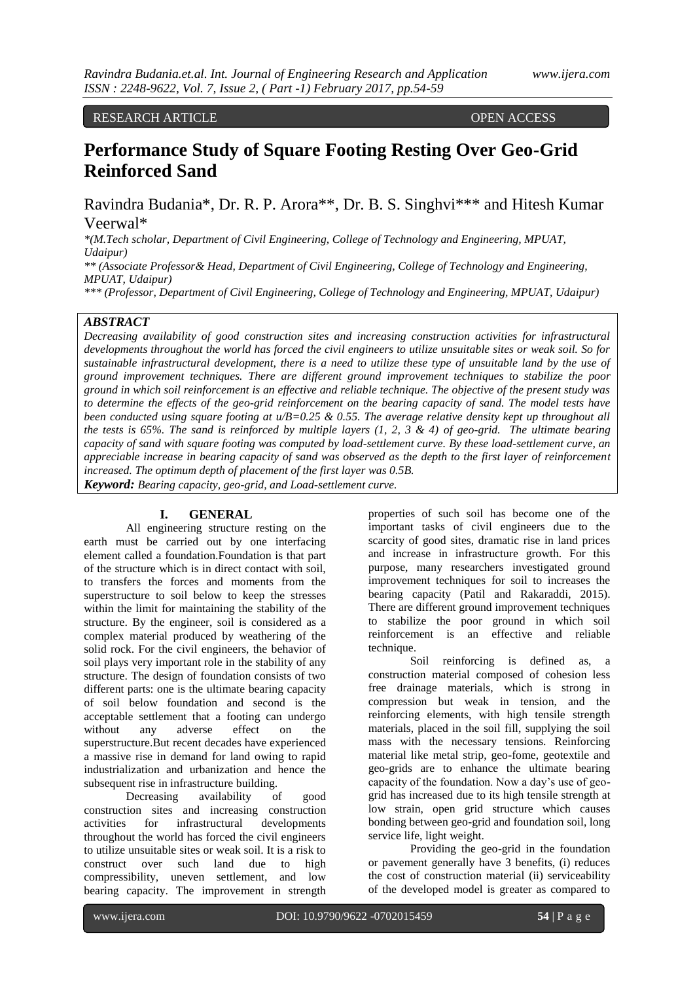RESEARCH ARTICLE **OPEN ACCESS** 

# **Performance Study of Square Footing Resting Over Geo-Grid Reinforced Sand**

Ravindra Budania\*, Dr. R. P. Arora\*\*, Dr. B. S. Singhvi\*\*\* and Hitesh Kumar Veerwal\*

*\*(M.Tech scholar, Department of Civil Engineering, College of Technology and Engineering, MPUAT, Udaipur)* 

*\*\* (Associate Professor& Head, Department of Civil Engineering, College of Technology and Engineering, MPUAT, Udaipur)* 

*\*\*\* (Professor, Department of Civil Engineering, College of Technology and Engineering, MPUAT, Udaipur)*

#### *ABSTRACT*

*Decreasing availability of good construction sites and increasing construction activities for infrastructural developments throughout the world has forced the civil engineers to utilize unsuitable sites or weak soil. So for sustainable infrastructural development, there is a need to utilize these type of unsuitable land by the use of ground improvement techniques. There are different ground improvement techniques to stabilize the poor ground in which soil reinforcement is an effective and reliable technique. The objective of the present study was to determine the effects of the geo-grid reinforcement on the bearing capacity of sand. The model tests have been conducted using square footing at u/B=0.25 & 0.55. The average relative density kept up throughout all the tests is 65%. The sand is reinforced by multiple layers (1, 2, 3 & 4) of geo-grid. The ultimate bearing capacity of sand with square footing was computed by load-settlement curve. By these load-settlement curve, an appreciable increase in bearing capacity of sand was observed as the depth to the first layer of reinforcement increased. The optimum depth of placement of the first layer was 0.5B.*

*Keyword: Bearing capacity, geo-grid, and Load-settlement curve.* 

#### **I. GENERAL**

All engineering structure resting on the earth must be carried out by one interfacing element called a foundation.Foundation is that part of the structure which is in direct contact with soil, to transfers the forces and moments from the superstructure to soil below to keep the stresses within the limit for maintaining the stability of the structure. By the engineer, soil is considered as a complex material produced by weathering of the solid rock. For the civil engineers, the behavior of soil plays very important role in the stability of any structure. The design of foundation consists of two different parts: one is the ultimate bearing capacity of soil below foundation and second is the acceptable settlement that a footing can undergo without any adverse effect on the superstructure.But recent decades have experienced a massive rise in demand for land owing to rapid industrialization and urbanization and hence the subsequent rise in infrastructure building.

Decreasing availability of good construction sites and increasing construction activities for infrastructural developments throughout the world has forced the civil engineers to utilize unsuitable sites or weak soil. It is a risk to construct over such land due to high compressibility, uneven settlement, and low bearing capacity. The improvement in strength properties of such soil has become one of the important tasks of civil engineers due to the scarcity of good sites, dramatic rise in land prices and increase in infrastructure growth. For this purpose, many researchers investigated ground improvement techniques for soil to increases the bearing capacity (Patil and Rakaraddi, 2015). There are different ground improvement techniques to stabilize the poor ground in which soil reinforcement is an effective and reliable technique.

Soil reinforcing is defined as, a construction material composed of cohesion less free drainage materials, which is strong in compression but weak in tension, and the reinforcing elements, with high tensile strength materials, placed in the soil fill, supplying the soil mass with the necessary tensions. Reinforcing material like metal strip, geo-fome, geotextile and geo-grids are to enhance the ultimate bearing capacity of the foundation. Now a day's use of geogrid has increased due to its high tensile strength at low strain, open grid structure which causes bonding between geo-grid and foundation soil, long service life, light weight.

Providing the geo-grid in the foundation or pavement generally have 3 benefits, (i) reduces the cost of construction material (ii) serviceability of the developed model is greater as compared to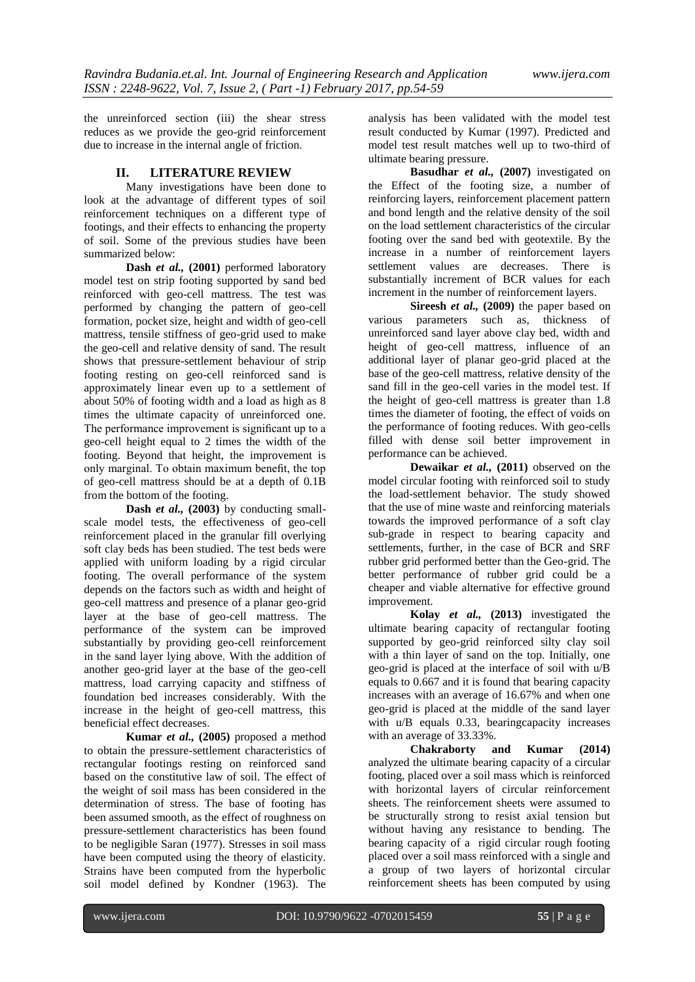the unreinforced section (iii) the shear stress reduces as we provide the geo-grid reinforcement due to increase in the internal angle of friction.

#### **II. LITERATURE REVIEW**

Many investigations have been done to look at the advantage of different types of soil reinforcement techniques on a different type of footings, and their effects to enhancing the property of soil. Some of the previous studies have been summarized below:

**Dash** *et al.,* **(2001)** performed laboratory model test on strip footing supported by sand bed reinforced with geo-cell mattress. The test was performed by changing the pattern of geo-cell formation, pocket size, height and width of geo-cell mattress, tensile stiffness of geo-grid used to make the geo-cell and relative density of sand. The result shows that pressure-settlement behaviour of strip footing resting on geo-cell reinforced sand is approximately linear even up to a settlement of about 50% of footing width and a load as high as 8 times the ultimate capacity of unreinforced one. The performance improvement is significant up to a geo-cell height equal to 2 times the width of the footing. Beyond that height, the improvement is only marginal. To obtain maximum benefit, the top of geo-cell mattress should be at a depth of 0.1B from the bottom of the footing.

**Dash** *et al.,* **(2003)** by conducting smallscale model tests, the effectiveness of geo-cell reinforcement placed in the granular fill overlying soft clay beds has been studied. The test beds were applied with uniform loading by a rigid circular footing. The overall performance of the system depends on the factors such as width and height of geo-cell mattress and presence of a planar geo-grid layer at the base of geo-cell mattress. The performance of the system can be improved substantially by providing geo-cell reinforcement in the sand layer lying above. With the addition of another geo-grid layer at the base of the geo-cell mattress, load carrying capacity and stiffness of foundation bed increases considerably. With the increase in the height of geo-cell mattress, this beneficial effect decreases.

**Kumar** *et al.,* **(2005)** proposed a method to obtain the pressure-settlement characteristics of rectangular footings resting on reinforced sand based on the constitutive law of soil. The effect of the weight of soil mass has been considered in the determination of stress. The base of footing has been assumed smooth, as the effect of roughness on pressure-settlement characteristics has been found to be negligible Saran (1977). Stresses in soil mass have been computed using the theory of elasticity. Strains have been computed from the hyperbolic soil model defined by Kondner (1963). The

analysis has been validated with the model test result conducted by Kumar (1997). Predicted and model test result matches well up to two-third of ultimate bearing pressure.

**Basudhar** *et al.,* **(2007)** investigated on the Effect of the footing size, a number of reinforcing layers, reinforcement placement pattern and bond length and the relative density of the soil on the load settlement characteristics of the circular footing over the sand bed with geotextile. By the increase in a number of reinforcement layers settlement values are decreases. There is substantially increment of BCR values for each increment in the number of reinforcement layers.

**Sireesh** *et al.,* **(2009)** the paper based on various parameters such as, thickness of unreinforced sand layer above clay bed, width and height of geo-cell mattress, influence of an additional layer of planar geo-grid placed at the base of the geo-cell mattress, relative density of the sand fill in the geo-cell varies in the model test. If the height of geo-cell mattress is greater than 1.8 times the diameter of footing, the effect of voids on the performance of footing reduces. With geo-cells filled with dense soil better improvement in performance can be achieved.

**Dewaikar** *et al.,* **(2011)** observed on the model circular footing with reinforced soil to study the load-settlement behavior. The study showed that the use of mine waste and reinforcing materials towards the improved performance of a soft clay sub-grade in respect to bearing capacity and settlements, further, in the case of BCR and SRF rubber grid performed better than the Geo-grid. The better performance of rubber grid could be a cheaper and viable alternative for effective ground improvement.

**Kolay** *et al.,* **(2013)** investigated the ultimate bearing capacity of rectangular footing supported by geo-grid reinforced silty clay soil with a thin layer of sand on the top. Initially, one geo-grid is placed at the interface of soil with u/B equals to 0.667 and it is found that bearing capacity increases with an average of 16.67% and when one geo-grid is placed at the middle of the sand layer with u/B equals 0.33, bearingcapacity increases with an average of 33.33%.

**Chakraborty and Kumar (2014)** analyzed the ultimate bearing capacity of a circular footing, placed over a soil mass which is reinforced with horizontal layers of circular reinforcement sheets. The reinforcement sheets were assumed to be structurally strong to resist axial tension but without having any resistance to bending. The bearing capacity of a rigid circular rough footing placed over a soil mass reinforced with a single and a group of two layers of horizontal circular reinforcement sheets has been computed by using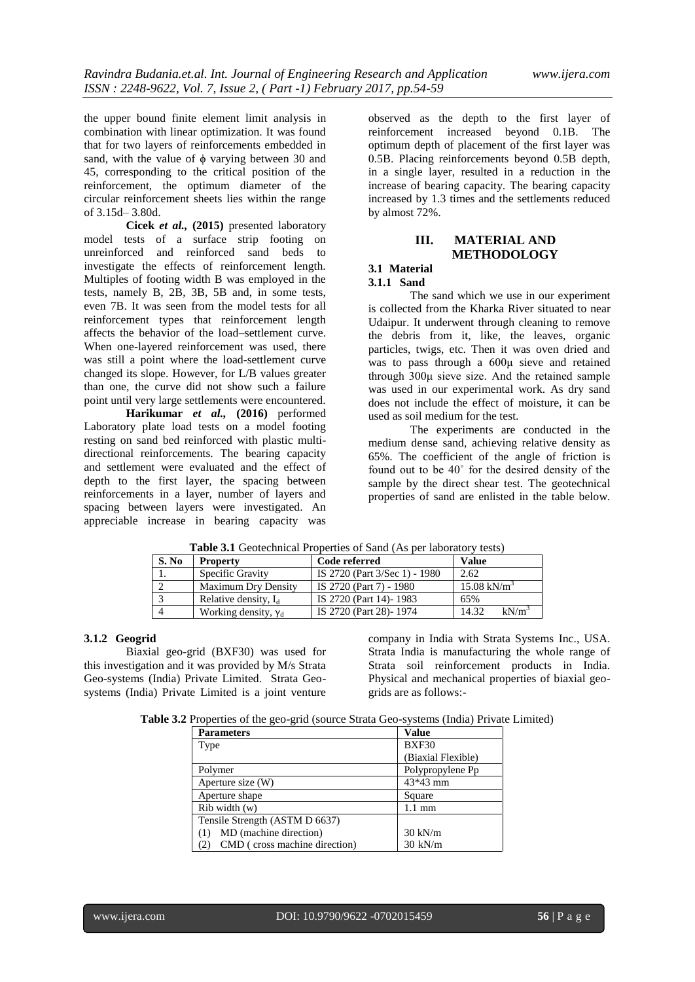the upper bound finite element limit analysis in combination with linear optimization. It was found that for two layers of reinforcements embedded in sand, with the value of  $\phi$  varying between 30 and 45, corresponding to the critical position of the reinforcement, the optimum diameter of the circular reinforcement sheets lies within the range of 3.15d– 3.80d.

**Cicek** *et al.,* **(2015)** presented laboratory model tests of a surface strip footing on unreinforced and reinforced sand beds to investigate the effects of reinforcement length. Multiples of footing width B was employed in the tests, namely B, 2B, 3B, 5B and, in some tests, even 7B. It was seen from the model tests for all reinforcement types that reinforcement length affects the behavior of the load–settlement curve. When one-layered reinforcement was used, there was still a point where the load-settlement curve changed its slope. However, for L/B values greater than one, the curve did not show such a failure point until very large settlements were encountered.

**Harikumar** *et al.,* **(2016)** performed Laboratory plate load tests on a model footing resting on sand bed reinforced with plastic multidirectional reinforcements. The bearing capacity and settlement were evaluated and the effect of depth to the first layer, the spacing between reinforcements in a layer, number of layers and spacing between layers were investigated. An appreciable increase in bearing capacity was

observed as the depth to the first layer of reinforcement increased beyond 0.1B. The optimum depth of placement of the first layer was 0.5B. Placing reinforcements beyond 0.5B depth, in a single layer, resulted in a reduction in the increase of bearing capacity. The bearing capacity increased by 1.3 times and the settlements reduced by almost 72%.

# **III. MATERIAL AND METHODOLOGY**

# **3.1 Material**

**3.1.1 Sand**

The sand which we use in our experiment is collected from the Kharka River situated to near Udaipur. It underwent through cleaning to remove the debris from it, like, the leaves, organic particles, twigs, etc. Then it was oven dried and was to pass through a 600μ sieve and retained through 300μ sieve size. And the retained sample was used in our experimental work. As dry sand does not include the effect of moisture, it can be used as soil medium for the test.

The experiments are conducted in the medium dense sand, achieving relative density as 65%. The coefficient of the angle of friction is found out to be 40˚ for the desired density of the sample by the direct shear test. The geotechnical properties of sand are enlisted in the table below.

| S. No | <b>Property</b>             | Code referred                 | <b>Value</b>           |
|-------|-----------------------------|-------------------------------|------------------------|
|       | Specific Gravity            | IS 2720 (Part 3/Sec 1) - 1980 | 2.62                   |
|       | <b>Maximum Dry Density</b>  | IS 2720 (Part 7) - 1980       | $15.08 \text{ kN/m}^3$ |
|       | Relative density, $I_d$     | IS 2720 (Part 14)-1983        | 65%                    |
|       | Working density, $\gamma_d$ | IS 2720 (Part 28)-1974        | $kN/m^3$<br>14.32      |

**Table 3.1** Geotechnical Properties of Sand (As per laboratory tests)

#### **3.1.2 Geogrid**

Biaxial geo-grid (BXF30) was used for this investigation and it was provided by M/s Strata Geo-systems (India) Private Limited. Strata Geosystems (India) Private Limited is a joint venture

company in India with Strata Systems Inc., USA. Strata India is manufacturing the whole range of Strata soil reinforcement products in India. Physical and mechanical properties of biaxial geogrids are as follows:-

**Table 3.2** Properties of the geo-grid (source Strata Geo-systems (India) Private Limited)

| <b>Parameters</b>              | Value              |  |
|--------------------------------|--------------------|--|
| Type                           | <b>BXF30</b>       |  |
|                                | (Biaxial Flexible) |  |
| Polymer                        | Polypropylene Pp   |  |
| Aperture size (W)              | 43*43 mm           |  |
| Aperture shape                 | Square             |  |
| $Rib$ width $(w)$              | $1.1 \text{ mm}$   |  |
| Tensile Strength (ASTM D 6637) |                    |  |
| MD (machine direction)         | $30 \text{ kN/m}$  |  |
| CMD (cross machine direction)  | $30 \text{ kN/m}$  |  |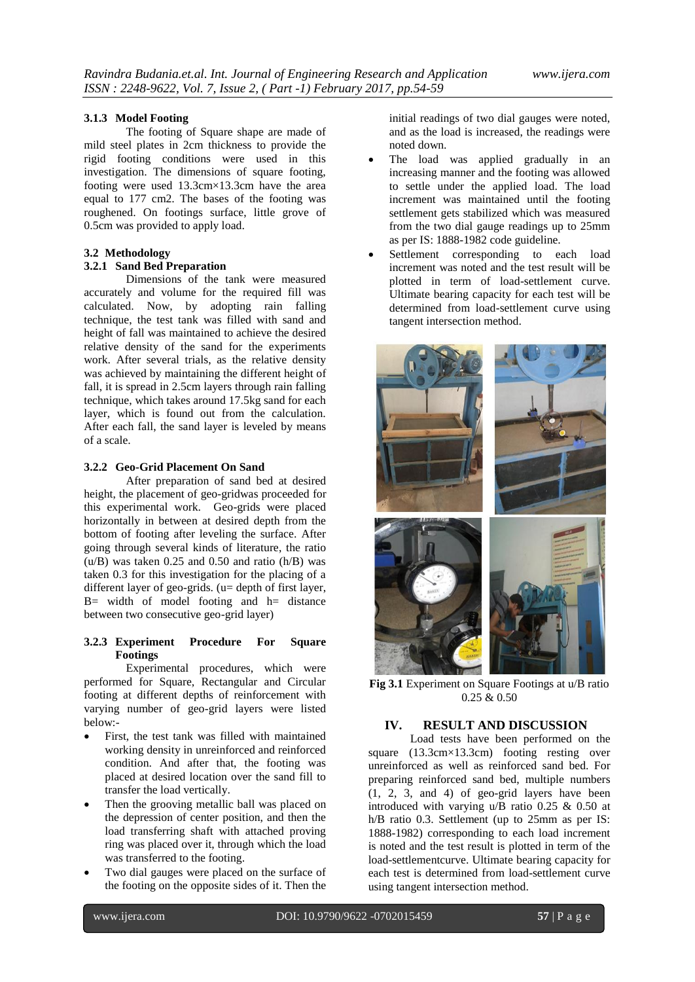#### **3.1.3 Model Footing**

The footing of Square shape are made of mild steel plates in 2cm thickness to provide the rigid footing conditions were used in this investigation. The dimensions of square footing, footing were used 13.3cm×13.3cm have the area equal to 177 cm2. The bases of the footing was roughened. On footings surface, little grove of 0.5cm was provided to apply load.

#### **3.2 Methodology**

#### **3.2.1 Sand Bed Preparation**

Dimensions of the tank were measured accurately and volume for the required fill was calculated. Now, by adopting rain falling technique, the test tank was filled with sand and height of fall was maintained to achieve the desired relative density of the sand for the experiments work. After several trials, as the relative density was achieved by maintaining the different height of fall, it is spread in 2.5cm layers through rain falling technique, which takes around 17.5kg sand for each layer, which is found out from the calculation. After each fall, the sand layer is leveled by means of a scale.

#### **3.2.2 Geo-Grid Placement On Sand**

After preparation of sand bed at desired height, the placement of geo-gridwas proceeded for this experimental work. Geo-grids were placed horizontally in between at desired depth from the bottom of footing after leveling the surface. After going through several kinds of literature, the ratio  $(u/B)$  was taken 0.25 and 0.50 and ratio  $(h/B)$  was taken 0.3 for this investigation for the placing of a different layer of geo-grids. (u= depth of first layer,  $B=$  width of model footing and  $h=$  distance between two consecutive geo-grid layer)

#### **3.2.3 Experiment Procedure For Square Footings**

Experimental procedures, which were performed for Square, Rectangular and Circular footing at different depths of reinforcement with varying number of geo-grid layers were listed below:-

- First, the test tank was filled with maintained working density in unreinforced and reinforced condition. And after that, the footing was placed at desired location over the sand fill to transfer the load vertically.
- Then the grooving metallic ball was placed on the depression of center position, and then the load transferring shaft with attached proving ring was placed over it, through which the load was transferred to the footing.
- Two dial gauges were placed on the surface of the footing on the opposite sides of it. Then the

initial readings of two dial gauges were noted, and as the load is increased, the readings were noted down.

- The load was applied gradually in an increasing manner and the footing was allowed to settle under the applied load. The load increment was maintained until the footing settlement gets stabilized which was measured from the two dial gauge readings up to 25mm as per IS: 1888-1982 code guideline.
- Settlement corresponding to each load increment was noted and the test result will be plotted in term of load-settlement curve. Ultimate bearing capacity for each test will be determined from load-settlement curve using tangent intersection method.



**Fig 3.1** Experiment on Square Footings at u/B ratio 0.25 & 0.50

# **IV. RESULT AND DISCUSSION**

Load tests have been performed on the square (13.3cm×13.3cm) footing resting over unreinforced as well as reinforced sand bed. For preparing reinforced sand bed, multiple numbers (1, 2, 3, and 4) of geo-grid layers have been introduced with varying u/B ratio 0.25 & 0.50 at h/B ratio 0.3. Settlement (up to 25mm as per IS: 1888-1982) corresponding to each load increment is noted and the test result is plotted in term of the load-settlementcurve. Ultimate bearing capacity for each test is determined from load-settlement curve using tangent intersection method.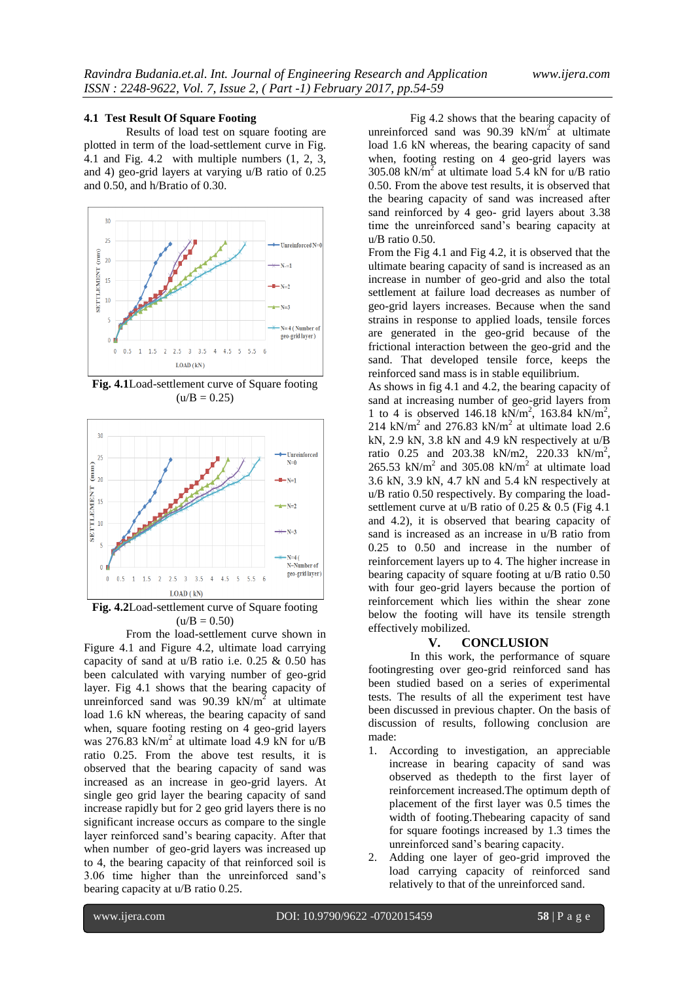#### **4.1 Test Result Of Square Footing**

Results of load test on square footing are plotted in term of the load-settlement curve in Fig. 4.1 and Fig. 4.2 with multiple numbers (1, 2, 3, and 4) geo-grid layers at varying u/B ratio of 0.25 and 0.50, and h/Bratio of 0.30.



**Fig. 4.1**Load-settlement curve of Square footing  $(u/B = 0.25)$ 



**Fig. 4.2**Load-settlement curve of Square footing  $(u/B = 0.50)$ 

From the load-settlement curve shown in Figure 4.1 and Figure 4.2, ultimate load carrying capacity of sand at  $u/B$  ratio i.e. 0.25 & 0.50 has been calculated with varying number of geo-grid layer. Fig 4.1 shows that the bearing capacity of unreinforced sand was  $90.39 \text{ kN/m}^2$  at ultimate load 1.6 kN whereas, the bearing capacity of sand when, square footing resting on 4 geo-grid layers was 276.83 kN/m<sup>2</sup> at ultimate load 4.9 kN for u/B ratio 0.25. From the above test results, it is observed that the bearing capacity of sand was increased as an increase in geo-grid layers. At single geo grid layer the bearing capacity of sand increase rapidly but for 2 geo grid layers there is no significant increase occurs as compare to the single layer reinforced sand's bearing capacity. After that when number of geo-grid layers was increased up to 4, the bearing capacity of that reinforced soil is 3.06 time higher than the unreinforced sand's bearing capacity at u/B ratio 0.25.

Fig 4.2 shows that the bearing capacity of unreinforced sand was  $90.39 \text{ kN/m}^2$  at ultimate load 1.6 kN whereas, the bearing capacity of sand when, footing resting on 4 geo-grid layers was 305.08 kN/ $m^2$  at ultimate load 5.4 kN for u/B ratio 0.50. From the above test results, it is observed that the bearing capacity of sand was increased after sand reinforced by 4 geo- grid layers about 3.38 time the unreinforced sand's bearing capacity at u/B ratio 0.50.

From the Fig 4.1 and Fig 4.2, it is observed that the ultimate bearing capacity of sand is increased as an increase in number of geo-grid and also the total settlement at failure load decreases as number of geo-grid layers increases. Because when the sand strains in response to applied loads, tensile forces are generated in the geo-grid because of the frictional interaction between the geo-grid and the sand. That developed tensile force, keeps the reinforced sand mass is in stable equilibrium.

As shows in fig 4.1 and 4.2, the bearing capacity of sand at increasing number of geo-grid layers from 1 to 4 is observed  $146.18 \text{ kN/m}^2$ ,  $163.84 \text{ kN/m}^2$ , 214 kN/m<sup>2</sup> and 276.83 kN/m<sup>2</sup> at ultimate load 2.6 kN, 2.9 kN, 3.8 kN and 4.9 kN respectively at u/B ratio 0.25 and 203.38 kN/m2, 220.33 kN/m<sup>2</sup>, 265.53 kN/m<sup>2</sup> and 305.08 kN/m<sup>2</sup> at ultimate load 3.6 kN, 3.9 kN, 4.7 kN and 5.4 kN respectively at u/B ratio 0.50 respectively. By comparing the loadsettlement curve at  $u/B$  ratio of 0.25 & 0.5 (Fig 4.1) and 4.2), it is observed that bearing capacity of sand is increased as an increase in u/B ratio from 0.25 to 0.50 and increase in the number of reinforcement layers up to 4. The higher increase in bearing capacity of square footing at u/B ratio 0.50 with four geo-grid layers because the portion of reinforcement which lies within the shear zone below the footing will have its tensile strength effectively mobilized.

#### **V. CONCLUSION**

In this work, the performance of square footingresting over geo-grid reinforced sand has been studied based on a series of experimental tests. The results of all the experiment test have been discussed in previous chapter. On the basis of discussion of results, following conclusion are made:

- 1. According to investigation, an appreciable increase in bearing capacity of sand was observed as thedepth to the first layer of reinforcement increased.The optimum depth of placement of the first layer was 0.5 times the width of footing.Thebearing capacity of sand for square footings increased by 1.3 times the unreinforced sand's bearing capacity.
- 2. Adding one layer of geo-grid improved the load carrying capacity of reinforced sand relatively to that of the unreinforced sand.